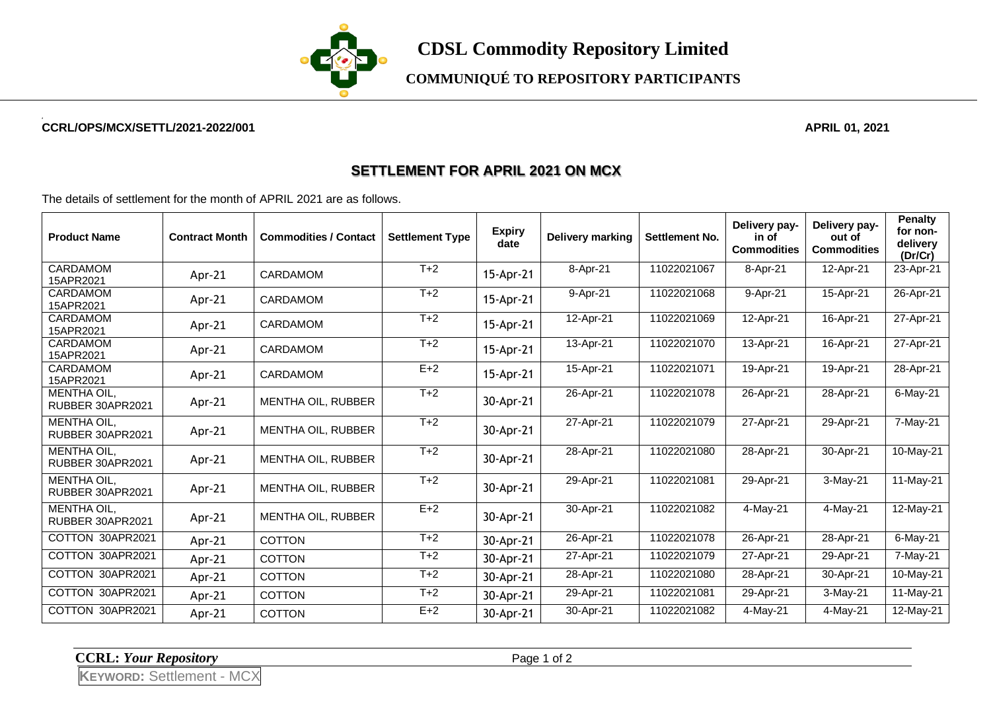

**COMMUNIQUÉ TO REPOSITORY PARTICIPANTS**

## **CCRL/OPS/MCX/SETTL/2021-2022/001 APRIL 01, 2021**

## **SETTLEMENT FOR APRIL 2021 ON MCX**

The details of settlement for the month of APRIL 2021 are as follows.

| <b>Product Name</b>                    | <b>Contract Month</b> | <b>Commodities / Contact</b> | <b>Settlement Type</b> | <b>Expiry</b><br>date | Delivery marking | <b>Settlement No.</b> | Delivery pay-<br>in of<br><b>Commodities</b> | Delivery pay-<br>out of<br><b>Commodities</b> | <b>Penalty</b><br>for non-<br>delivery<br>(Dr/Cr) |
|----------------------------------------|-----------------------|------------------------------|------------------------|-----------------------|------------------|-----------------------|----------------------------------------------|-----------------------------------------------|---------------------------------------------------|
| <b>CARDAMOM</b><br>15APR2021           | Apr-21                | CARDAMOM                     | $T+2$                  | 15-Apr-21             | 8-Apr-21         | 11022021067           | 8-Apr-21                                     | 12-Apr-21                                     | 23-Apr-21                                         |
| CARDAMOM<br>15APR2021                  | Apr-21                | CARDAMOM                     | $T+2$                  | 15-Apr-21             | 9-Apr-21         | 11022021068           | 9-Apr-21                                     | 15-Apr-21                                     | 26-Apr-21                                         |
| CARDAMOM<br>15APR2021                  | Apr-21                | <b>CARDAMOM</b>              | $T+2$                  | 15-Apr-21             | 12-Apr-21        | 11022021069           | 12-Apr-21                                    | 16-Apr-21                                     | 27-Apr-21                                         |
| <b>CARDAMOM</b><br>15APR2021           | Apr-21                | CARDAMOM                     | $T+2$                  | 15-Apr-21             | 13-Apr-21        | 11022021070           | 13-Apr-21                                    | 16-Apr-21                                     | 27-Apr-21                                         |
| CARDAMOM<br>15APR2021                  | Apr- $21$             | <b>CARDAMOM</b>              | $E+2$                  | 15-Apr-21             | 15-Apr-21        | 11022021071           | 19-Apr-21                                    | 19-Apr-21                                     | 28-Apr-21                                         |
| <b>MENTHA OIL,</b><br>RUBBER 30APR2021 | Apr- $21$             | MENTHA OIL, RUBBER           | $T+2$                  | 30-Apr-21             | 26-Apr-21        | 11022021078           | 26-Apr-21                                    | 28-Apr-21                                     | 6-May-21                                          |
| MENTHA OIL,<br>RUBBER 30APR2021        | Apr- $21$             | <b>MENTHA OIL, RUBBER</b>    | $T+2$                  | 30-Apr-21             | 27-Apr-21        | 11022021079           | 27-Apr-21                                    | 29-Apr-21                                     | 7-May-21                                          |
| <b>MENTHA OIL.</b><br>RUBBER 30APR2021 | Apr- $21$             | <b>MENTHA OIL, RUBBER</b>    | $T+2$                  | 30-Apr-21             | 28-Apr-21        | 11022021080           | 28-Apr-21                                    | 30-Apr-21                                     | 10-May-21                                         |
| <b>MENTHA OIL.</b><br>RUBBER 30APR2021 | Apr-21                | <b>MENTHA OIL, RUBBER</b>    | $T+2$                  | 30-Apr-21             | 29-Apr-21        | 11022021081           | 29-Apr-21                                    | $3-May-21$                                    | 11-May-21                                         |
| MENTHA OIL,<br>RUBBER 30APR2021        | Apr-21                | MENTHA OIL, RUBBER           | $E+2$                  | 30-Apr-21             | 30-Apr-21        | 11022021082           | 4-May-21                                     | 4-May-21                                      | 12-May-21                                         |
| COTTON 30APR2021                       | Apr-21                | <b>COTTON</b>                | $T+2$                  | 30-Apr-21             | 26-Apr-21        | 11022021078           | 26-Apr-21                                    | 28-Apr-21                                     | $6$ -May-21                                       |
| COTTON 30APR2021                       | Apr-21                | <b>COTTON</b>                | $T+2$                  | 30-Apr-21             | 27-Apr-21        | 11022021079           | 27-Apr-21                                    | 29-Apr-21                                     | 7-May-21                                          |
| COTTON 30APR2021                       | Apr-21                | <b>COTTON</b>                | $T+2$                  | 30-Apr-21             | 28-Apr-21        | 11022021080           | 28-Apr-21                                    | 30-Apr-21                                     | 10-May-21                                         |
| COTTON 30APR2021                       | Apr-21                | <b>COTTON</b>                | $T+2$                  | 30-Apr-21             | 29-Apr-21        | 11022021081           | 29-Apr-21                                    | $3-May-21$                                    | 11-May-21                                         |
| COTTON 30APR2021                       | Apr-21                | <b>COTTON</b>                | $E+2$                  | 30-Apr-21             | 30-Apr-21        | 11022021082           | 4-May-21                                     | 4-May-21                                      | 12-May-21                                         |

**CCRL:** *Your Repository* Page 1 of 2